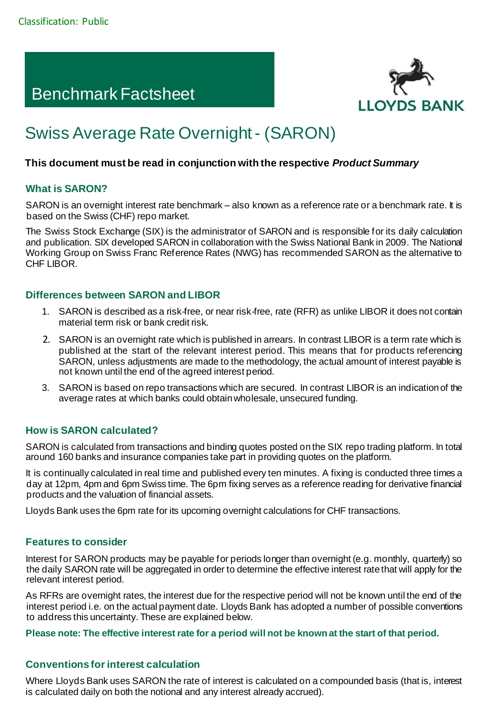# Benchmark Factsheet



# Swiss Average Rate Overnight - (SARON)

# **This document must be read in conjunction with the respective** *Product Summary*

# **What is SARON?**

SARON is an overnight interest rate benchmark – also known as a reference rate or a benchmark rate. It is based on the Swiss (CHF) repo market.

The Swiss Stock Exchange (SIX) is the administrator of SARON and is responsible for its daily calculation and publication. SIX developed SARON in collaboration with the Swiss National Bank in 2009. The National Working Group on Swiss Franc Reference Rates (NWG) has recommended SARON as the alternative to CHF LIBOR.

#### **Differences between SARON and LIBOR**

- 1. SARON is described as a risk-free, or near risk-free, rate (RFR) as unlike LIBOR it does not contain material term risk or bank credit risk.
- 2. SARON is an overnight rate which is published in arrears. In contrast LIBOR is a term rate which is published at the start of the relevant interest period. This means that for products referencing SARON, unless adjustments are made to the methodology, the actual amount of interest payable is not known until the end of the agreed interest period.
- 3. SARON is based on repo transactions which are secured. In contrast LIBOR is an indication of the average rates at which banks could obtain wholesale, unsecured funding.

# **How is SARON calculated?**

SARON is calculated from transactions and binding quotes posted on the SIX repo trading platform. In total around 160 banks and insurance companies take part in providing quotes on the platform.

It is continually calculated in real time and published every ten minutes. A fixing is conducted three times a day at 12pm, 4pm and 6pm Swiss time. The 6pm fixing serves as a reference reading for derivative financial products and the valuation of financial assets.

Lloyds Bank uses the 6pm rate for its upcoming overnight calculations for CHF transactions.

# **Features to consider**

Interest for SARON products may be payable for periods longer than overnight (e.g. monthly, quarterly) so the daily SARON rate will be aggregated in order to determine the effective interest rate that will apply for the relevant interest period.

As RFRs are overnight rates, the interest due for the respective period will not be known until the end of the interest period i.e. on the actual payment date. Lloyds Bank has adopted a number of possible conventions to address this uncertainty. These are explained below.

**Please note: The effective interest rate for a period will not be known at the start of that period.** 

# **Conventions for interest calculation**

Where Lloyds Bank uses SARON the rate of interest is calculated on a compounded basis (that is, interest is calculated daily on both the notional and any interest already accrued).